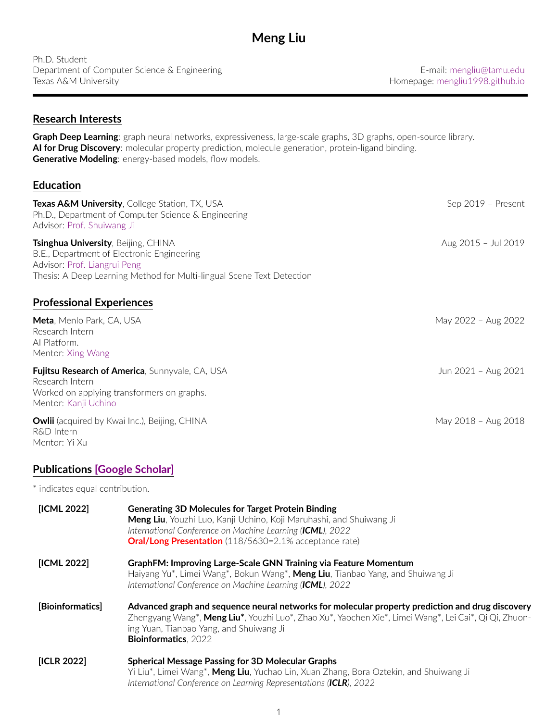| Ph.D. Student                                |
|----------------------------------------------|
| Department of Computer Science & Engineering |
| Texas A&M University                         |

department of Computer Science & E-mail: [mengliu@tamu.edu](mailto:mengliu@tamu.edu) Homepage: [mengliu1998.github.io](https://mengliu1998.github.io)

### **Research Interests**

**Graph Deep Learning**: graph neural networks, expressiveness, large-scale graphs, 3D graphs, open-source library. **AI for Drug Discovery**: molecular property prediction, molecule generation, protein-ligand binding. **Generative Modeling**: energy-based models, flow models.

# **Education**

| <b>Texas A&amp;M University, College Station, TX, USA</b><br>Ph.D., Department of Computer Science & Engineering<br>Advisor: Prof. Shuiwang Ji                                                    | Sep 2019 - Present  |
|---------------------------------------------------------------------------------------------------------------------------------------------------------------------------------------------------|---------------------|
| <b>Tsinghua University, Beijing, CHINA</b><br>B.E., Department of Electronic Engineering<br>Advisor: Prof. Liangrui Peng<br>Thesis: A Deep Learning Method for Multi-lingual Scene Text Detection | Aug 2015 - Jul 2019 |
| <b>Professional Experiences</b>                                                                                                                                                                   |                     |
| <b>Meta</b> , Menlo Park, CA, USA<br>Research Intern<br>Al Platform.<br>Mentor: Xing Wang                                                                                                         | May 2022 - Aug 2022 |
| <b>Fujitsu Research of America, Sunnyvale, CA, USA</b><br>Research Intern<br>Worked on applying transformers on graphs.<br>Mentor: Kanji Uchino                                                   | Jun 2021 - Aug 2021 |
| <b>Owlii</b> (acquired by Kwai Inc.), Beijing, CHINA<br>R&D Intern<br>Mentor: Yi Xu                                                                                                               | May 2018 - Aug 2018 |

# **Publications [\[Google Scholar\]](https://scholar.google.com/citations?hl=en&user=MlX5wLcAAAAJ)**

\* indicates equal contribution.

| [ICML 2022]      | <b>Generating 3D Molecules for Target Protein Binding</b><br>Meng Liu, Youzhi Luo, Kanji Uchino, Koji Maruhashi, and Shuiwang Ji<br>International Conference on Machine Learning (ICML), 2022<br><b>Oral/Long Presentation</b> (118/5630=2.1% acceptance rate)                      |
|------------------|-------------------------------------------------------------------------------------------------------------------------------------------------------------------------------------------------------------------------------------------------------------------------------------|
| [ICML 2022]      | <b>GraphFM: Improving Large-Scale GNN Training via Feature Momentum</b><br>Haiyang Yu*, Limei Wang*, Bokun Wang*, Meng Liu, Tianbao Yang, and Shuiwang Ji<br>International Conference on Machine Learning (ICML), 2022                                                              |
| [Bioinformatics] | Advanced graph and sequence neural networks for molecular property prediction and drug discovery<br>Zhengyang Wang*, Meng Liu*, Youzhi Luo*, Zhao Xu*, Yaochen Xie*, Limei Wang*, Lei Cai*, Qi Qi, Zhuon-<br>ing Yuan, Tianbao Yang, and Shuiwang Ji<br><b>Bioinformatics, 2022</b> |
| [ICLR 2022]      | <b>Spherical Message Passing for 3D Molecular Graphs</b><br>Yi Liu*, Limei Wang*, <b>Meng Liu</b> , Yuchao Lin, Xuan Zhang, Bora Oztekin, and Shuiwang Ji<br>International Conference on Learning Representations (ICLR), 2022                                                      |